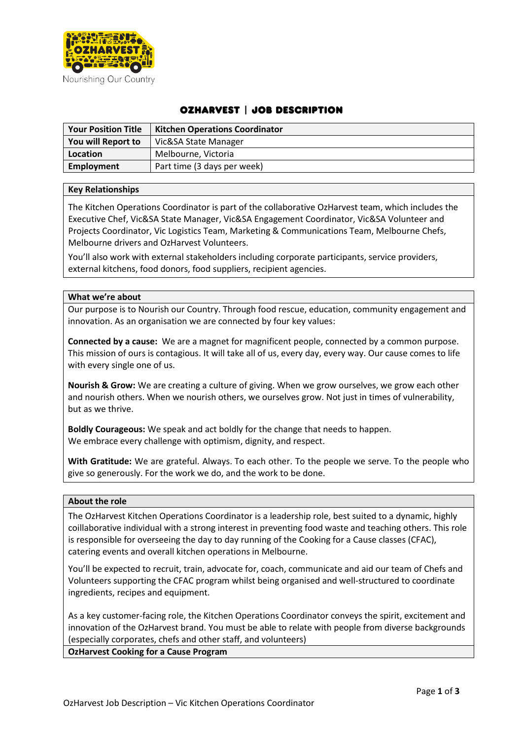

# OzHarvest | Job Description

| <b>Your Position Title</b> | <b>Kitchen Operations Coordinator</b> |
|----------------------------|---------------------------------------|
| You will Report to         | Vic&SA State Manager                  |
| Location                   | Melbourne, Victoria                   |
| Employment                 | Part time (3 days per week)           |

# **Key Relationships**

The Kitchen Operations Coordinator is part of the collaborative OzHarvest team, which includes the Executive Chef, Vic&SA State Manager, Vic&SA Engagement Coordinator, Vic&SA Volunteer and Projects Coordinator, Vic Logistics Team, Marketing & Communications Team, Melbourne Chefs, Melbourne drivers and OzHarvest Volunteers.

You'll also work with external stakeholders including corporate participants, service providers, external kitchens, food donors, food suppliers, recipient agencies.

# **What we're about**

Our purpose is to Nourish our Country. Through food rescue, education, community engagement and innovation. As an organisation we are connected by four key values:

**Connected by a cause:** We are a magnet for magnificent people, connected by a common purpose. This mission of ours is contagious. It will take all of us, every day, every way. Our cause comes to life with every single one of us.

**Nourish & Grow:** We are creating a culture of giving. When we grow ourselves, we grow each other and nourish others. When we nourish others, we ourselves grow. Not just in times of vulnerability, but as we thrive.

**Boldly Courageous:** We speak and act boldly for the change that needs to happen. We embrace every challenge with optimism, dignity, and respect.

**With Gratitude:** We are grateful. Always. To each other. To the people we serve. To the people who give so generously. For the work we do, and the work to be done.

#### **About the role**

The OzHarvest Kitchen Operations Coordinator is a leadership role, best suited to a dynamic, highly coillaborative individual with a strong interest in preventing food waste and teaching others. This role is responsible for overseeing the day to day running of the Cooking for a Cause classes (CFAC), catering events and overall kitchen operations in Melbourne.

You'll be expected to recruit, train, advocate for, coach, communicate and aid our team of Chefs and Volunteers supporting the CFAC program whilst being organised and well-structured to coordinate ingredients, recipes and equipment.

As a key customer-facing role, the Kitchen Operations Coordinator conveys the spirit, excitement and innovation of the OzHarvest brand. You must be able to relate with people from diverse backgrounds (especially corporates, chefs and other staff, and volunteers)

**OzHarvest Cooking for a Cause Program**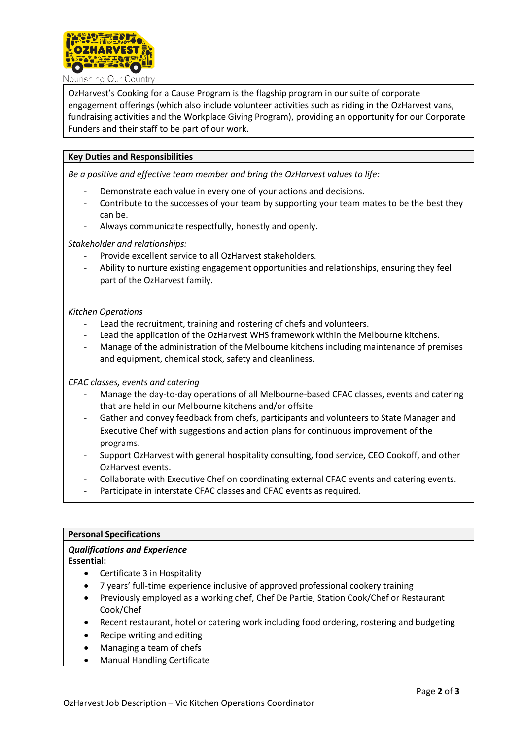

Nourishing Our Country

OzHarvest's Cooking for a Cause Program is the flagship program in our suite of corporate engagement offerings (which also include volunteer activities such as riding in the OzHarvest vans, fundraising activities and the Workplace Giving Program), providing an opportunity for our Corporate Funders and their staff to be part of our work.

# **Key Duties and Responsibilities**

*Be a positive and effective team member and bring the OzHarvest values to life:*

- Demonstrate each value in every one of your actions and decisions.
- Contribute to the successes of your team by supporting your team mates to be the best they can be.
- Always communicate respectfully, honestly and openly.

*Stakeholder and relationships:*

- Provide excellent service to all OzHarvest stakeholders.
- Ability to nurture existing engagement opportunities and relationships, ensuring they feel part of the OzHarvest family.

#### *Kitchen Operations*

- Lead the recruitment, training and rostering of chefs and volunteers.
- Lead the application of the OzHarvest WHS framework within the Melbourne kitchens.
- Manage of the administration of the Melbourne kitchens including maintenance of premises and equipment, chemical stock, safety and cleanliness.

#### *CFAC classes, events and catering*

- Manage the day-to-day operations of all Melbourne-based CFAC classes, events and catering that are held in our Melbourne kitchens and/or offsite.
- Gather and convey feedback from chefs, participants and volunteers to State Manager and Executive Chef with suggestions and action plans for continuous improvement of the programs.
- Support OzHarvest with general hospitality consulting, food service, CEO Cookoff, and other OzHarvest events.
- Collaborate with Executive Chef on coordinating external CFAC events and catering events.
- Participate in interstate CFAC classes and CFAC events as required.

#### **Personal Specifications**

# *Qualifications and Experience*

**Essential:**

- Certificate 3 in Hospitality
- 7 years' full-time experience inclusive of approved professional cookery training
- Previously employed as a working chef, Chef De Partie, Station Cook/Chef or Restaurant Cook/Chef
- Recent restaurant, hotel or catering work including food ordering, rostering and budgeting
- Recipe writing and editing
- Managing a team of chefs
- Manual Handling Certificate